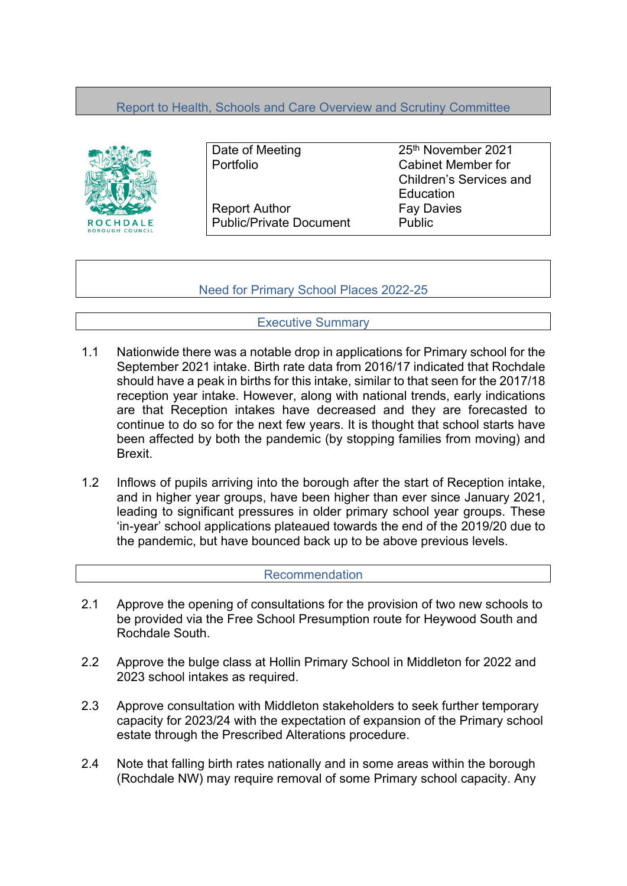# Report to Health, Schools and Care Overview and Scrutiny Committee



Report Author Fay Davies Public/Private Document Public

Date of Meeting 25<sup>th</sup> November 2021 Portfolio Cabinet Member for Children's Services and **Education** 

Need for Primary School Places 2022-25

Executive Summary

- 1.1 Nationwide there was a notable drop in applications for Primary school for the September 2021 intake. Birth rate data from 2016/17 indicated that Rochdale should have a peak in births for this intake, similar to that seen for the 2017/18 reception year intake. However, along with national trends, early indications are that Reception intakes have decreased and they are forecasted to continue to do so for the next few years. It is thought that school starts have been affected by both the pandemic (by stopping families from moving) and Brexit.
- 1.2 Inflows of pupils arriving into the borough after the start of Reception intake, and in higher year groups, have been higher than ever since January 2021, leading to significant pressures in older primary school year groups. These 'in-year' school applications plateaued towards the end of the 2019/20 due to the pandemic, but have bounced back up to be above previous levels.

#### Recommendation

- 2.1 Approve the opening of consultations for the provision of two new schools to be provided via the Free School Presumption route for Heywood South and Rochdale South.
- 2.2 Approve the bulge class at Hollin Primary School in Middleton for 2022 and 2023 school intakes as required.
- 2.3 Approve consultation with Middleton stakeholders to seek further temporary capacity for 2023/24 with the expectation of expansion of the Primary school estate through the Prescribed Alterations procedure.
- 2.4 Note that falling birth rates nationally and in some areas within the borough (Rochdale NW) may require removal of some Primary school capacity. Any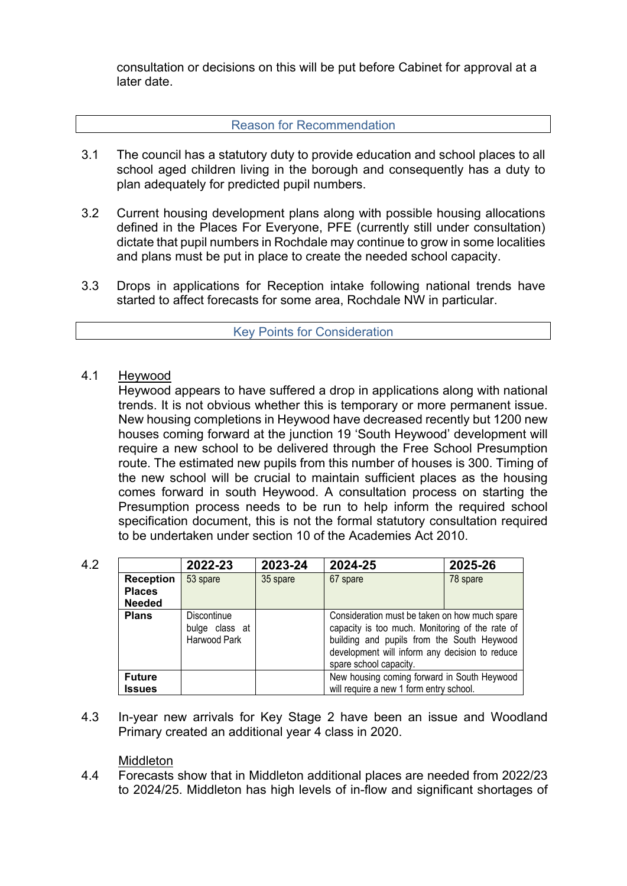consultation or decisions on this will be put before Cabinet for approval at a later date.

### Reason for Recommendation

- 3.1 The council has a statutory duty to provide education and school places to all school aged children living in the borough and consequently has a duty to plan adequately for predicted pupil numbers.
- 3.2 Current housing development plans along with possible housing allocations defined in the Places For Everyone, PFE (currently still under consultation) dictate that pupil numbers in Rochdale may continue to grow in some localities and plans must be put in place to create the needed school capacity.
- 3.3 Drops in applications for Reception intake following national trends have started to affect forecasts for some area, Rochdale NW in particular.

#### Key Points for Consideration

#### 4.1 Heywood

Heywood appears to have suffered a drop in applications along with national trends. It is not obvious whether this is temporary or more permanent issue. New housing completions in Heywood have decreased recently but 1200 new houses coming forward at the junction 19 'South Heywood' development will require a new school to be delivered through the Free School Presumption route. The estimated new pupils from this number of houses is 300. Timing of the new school will be crucial to maintain sufficient places as the housing comes forward in south Heywood. A consultation process on starting the Presumption process needs to be run to help inform the required school specification document, this is not the formal statutory consultation required to be undertaken under section 10 of the Academies Act 2010.

| 4.2 |                                   | 2022-23                                       | 2023-24  | 2024-25                                                                                                                                                                                                                    | 2025-26  |
|-----|-----------------------------------|-----------------------------------------------|----------|----------------------------------------------------------------------------------------------------------------------------------------------------------------------------------------------------------------------------|----------|
|     | <b>Reception</b><br><b>Places</b> | 53 spare                                      | 35 spare | 67 spare                                                                                                                                                                                                                   | 78 spare |
|     | <b>Needed</b>                     |                                               |          |                                                                                                                                                                                                                            |          |
|     | <b>Plans</b>                      | Discontinue<br>bulge class at<br>Harwood Park |          | Consideration must be taken on how much spare<br>capacity is too much. Monitoring of the rate of<br>building and pupils from the South Heywood<br>development will inform any decision to reduce<br>spare school capacity. |          |
|     | <b>Future</b>                     |                                               |          | New housing coming forward in South Heywood                                                                                                                                                                                |          |
|     | Issues                            |                                               |          | will require a new 1 form entry school.                                                                                                                                                                                    |          |

4.3 In-year new arrivals for Key Stage 2 have been an issue and Woodland Primary created an additional year 4 class in 2020.

#### Middleton

4.4 Forecasts show that in Middleton additional places are needed from 2022/23 to 2024/25. Middleton has high levels of in-flow and significant shortages of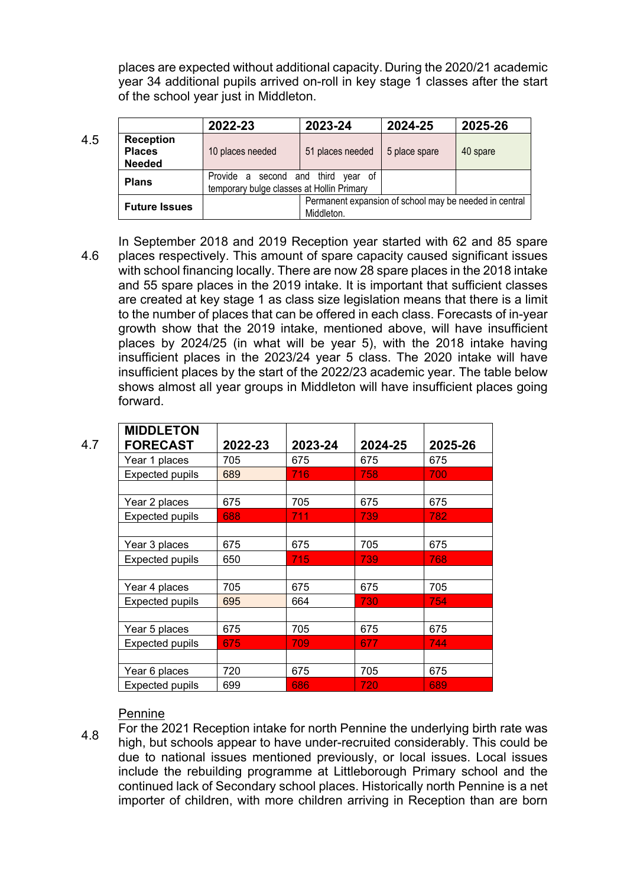places are expected without additional capacity. During the 2020/21 academic year 34 additional pupils arrived on-roll in key stage 1 classes after the start of the school year just in Middleton.

4.5 **2022-23 2023-24 2024-25 2025-26 Reception Places Needed** 10 places needed  $\vert$  51 places needed  $\vert$  5 place spare  $\vert$  40 spare **Plans** Provide a second and third year of temporary bulge classes at Hollin Primary **Future Issues** Permanent expansion of school may be needed in central Middleton.

4.6 In September 2018 and 2019 Reception year started with 62 and 85 spare places respectively. This amount of spare capacity caused significant issues with school financing locally. There are now 28 spare places in the 2018 intake and 55 spare places in the 2019 intake. It is important that sufficient classes are created at key stage 1 as class size legislation means that there is a limit to the number of places that can be offered in each class. Forecasts of in-year growth show that the 2019 intake, mentioned above, will have insufficient places by 2024/25 (in what will be year 5), with the 2018 intake having insufficient places in the 2023/24 year 5 class. The 2020 intake will have insufficient places by the start of the 2022/23 academic year. The table below shows almost all year groups in Middleton will have insufficient places going forward.

| <b>MIDDLETON</b>       |         |         |         |         |
|------------------------|---------|---------|---------|---------|
| <b>FORECAST</b>        | 2022-23 | 2023-24 | 2024-25 | 2025-26 |
| Year 1 places          | 705     | 675     | 675     | 675     |
| <b>Expected pupils</b> | 689     | 716     | 758     | 700     |
|                        |         |         |         |         |
| Year 2 places          | 675     | 705     | 675     | 675     |
| <b>Expected pupils</b> | 688     | 711     | 739     | 782     |
|                        |         |         |         |         |
| Year 3 places          | 675     | 675     | 705     | 675     |
| <b>Expected pupils</b> | 650     | 715     | 739     | 768     |
|                        |         |         |         |         |
| Year 4 places          | 705     | 675     | 675     | 705     |
| <b>Expected pupils</b> | 695     | 664     | 730     | 754     |
|                        |         |         |         |         |
| Year 5 places          | 675     | 705     | 675     | 675     |
| <b>Expected pupils</b> | 675     | 709     | 677     | 744     |
|                        |         |         |         |         |
| Year 6 places          | 720     | 675     | 705     | 675     |
| <b>Expected pupils</b> | 699     | 686     | 720     | 689     |

#### Pennine

4.8 For the 2021 Reception intake for north Pennine the underlying birth rate was high, but schools appear to have under-recruited considerably. This could be due to national issues mentioned previously, or local issues. Local issues include the rebuilding programme at Littleborough Primary school and the continued lack of Secondary school places. Historically north Pennine is a net importer of children, with more children arriving in Reception than are born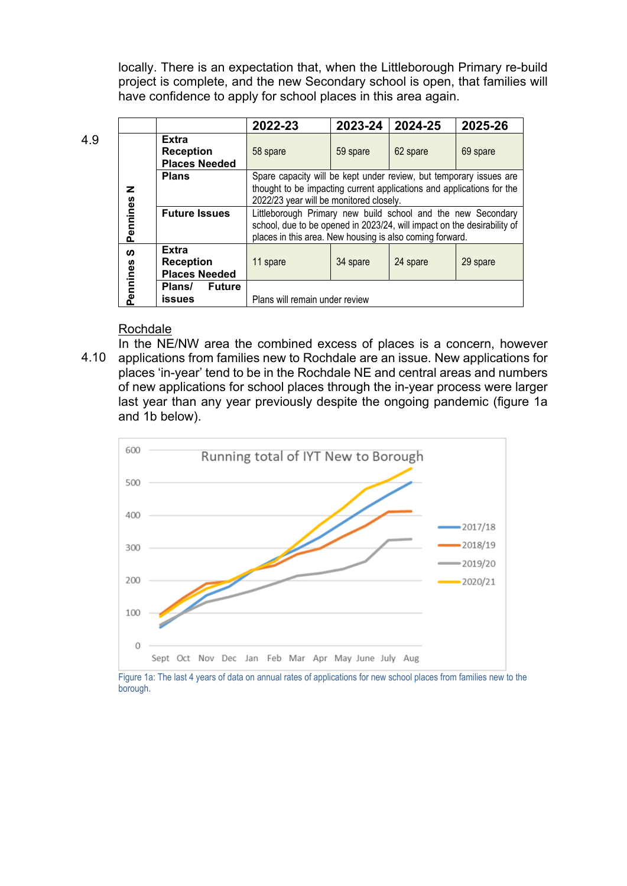locally. There is an expectation that, when the Littleborough Primary re-build project is complete, and the new Secondary school is open, that families will have confidence to apply for school places in this area again.

|          |                                                          | 2022-23                                                                                                                                                                                             | 2023-24                          | 2024-25  | 2025-26  |  |  |  |  |  |
|----------|----------------------------------------------------------|-----------------------------------------------------------------------------------------------------------------------------------------------------------------------------------------------------|----------------------------------|----------|----------|--|--|--|--|--|
|          | <b>Extra</b><br><b>Reception</b><br><b>Places Needed</b> | 58 spare                                                                                                                                                                                            | 59 spare                         | 62 spare | 69 spare |  |  |  |  |  |
| z        | <b>Plans</b>                                             | Spare capacity will be kept under review, but temporary issues are<br>thought to be impacting current applications and applications for the<br>2022/23 year will be monitored closely.              |                                  |          |          |  |  |  |  |  |
| Pennines | <b>Future Issues</b>                                     | Littleborough Primary new build school and the new Secondary<br>school, due to be opened in 2023/24, will impact on the desirability of<br>places in this area. New housing is also coming forward. |                                  |          |          |  |  |  |  |  |
| <b>S</b> | <b>Extra</b><br><b>Reception</b><br><b>Places Needed</b> | 11 spare                                                                                                                                                                                            | 24 spare<br>34 spare<br>29 spare |          |          |  |  |  |  |  |
| Pennines | <b>Future</b><br>Plans/<br><b>issues</b>                 | Plans will remain under review                                                                                                                                                                      |                                  |          |          |  |  |  |  |  |

#### Rochdale

4.10 In the NE/NW area the combined excess of places is a concern, however applications from families new to Rochdale are an issue. New applications for places 'in-year' tend to be in the Rochdale NE and central areas and numbers of new applications for school places through the in-year process were larger last year than any year previously despite the ongoing pandemic (figure 1a and 1b below).



Figure 1a: The last 4 years of data on annual rates of applications for new school places from families new to the borough.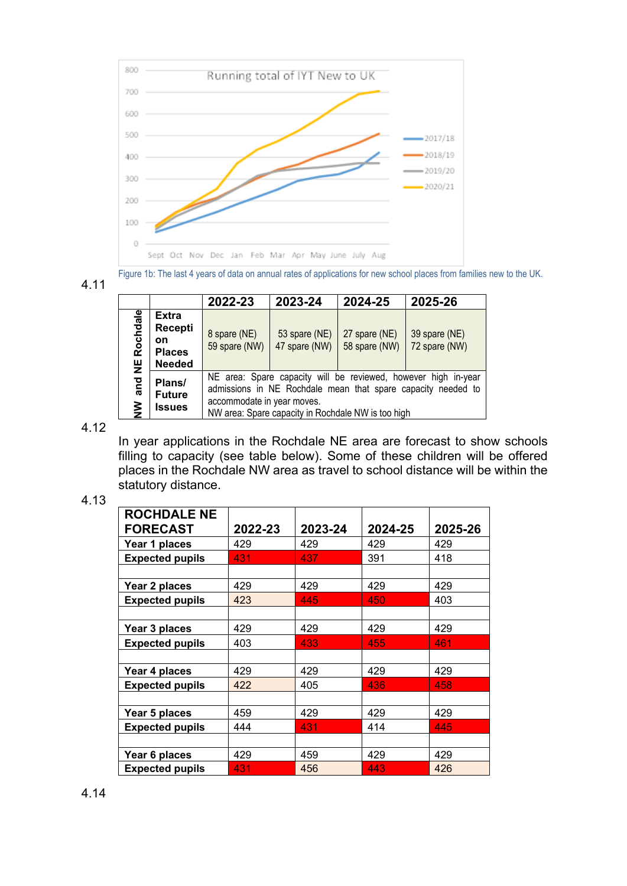



|  |  |  | <b>MALA TALL THE MALE LAND OF MALA DILATINGHI MOD OF APPHOADOHOLOGICAL DOHOOF PRADOD HOLL MILIMOO HOLL TO BID OF</b> |  |  |  |  |
|--|--|--|----------------------------------------------------------------------------------------------------------------------|--|--|--|--|
|  |  |  |                                                                                                                      |  |  |  |  |
|  |  |  |                                                                                                                      |  |  |  |  |

|                                   |                                                                        | 2022-23                                                                                                                                                                                                            | 2023-24                        | 2024-25                        | 2025-26                        |  |  |  |
|-----------------------------------|------------------------------------------------------------------------|--------------------------------------------------------------------------------------------------------------------------------------------------------------------------------------------------------------------|--------------------------------|--------------------------------|--------------------------------|--|--|--|
| Rochdale<br>쁮                     | <b>Extra</b><br><b>Recepti</b><br>on<br><b>Places</b><br><b>Needed</b> | 8 spare (NE)<br>59 spare (NW)                                                                                                                                                                                      | 53 spare (NE)<br>47 spare (NW) | 27 spare (NE)<br>58 spare (NW) | 39 spare (NE)<br>72 spare (NW) |  |  |  |
| $\frac{1}{2}$<br>$\sum_{i=1}^{n}$ | Plans/<br><b>Future</b><br><b>Issues</b>                               | NE area: Spare capacity will be reviewed, however high in-year<br>admissions in NE Rochdale mean that spare capacity needed to<br>accommodate in year moves.<br>NW area: Spare capacity in Rochdale NW is too high |                                |                                |                                |  |  |  |

4.12

In year applications in the Rochdale NE area are forecast to show schools filling to capacity (see table below). Some of these children will be offered places in the Rochdale NW area as travel to school distance will be within the statutory distance.

4.13

| <b>ROCHDALE NE</b><br>FORECAST | 2022-23 | 2023-24 | 2024-25 | 2025-26 |
|--------------------------------|---------|---------|---------|---------|
|                                | 429     | 429     | 429     | 429     |
| Year 1 places                  |         |         |         |         |
| <b>Expected pupils</b>         | 431     | 437.    | 391     | 418     |
|                                |         |         |         |         |
| Year 2 places                  | 429     | 429     | 429     | 429     |
| <b>Expected pupils</b>         | 423     | 445     | 450     | 403     |
|                                |         |         |         |         |
| Year 3 places                  | 429     | 429     | 429     | 429     |
| <b>Expected pupils</b>         | 403     | 433     | 455     | 461     |
|                                |         |         |         |         |
| Year 4 places                  | 429     | 429     | 429     | 429     |
| <b>Expected pupils</b>         | 422     | 405     | 436     | 458     |
|                                |         |         |         |         |
| Year 5 places                  | 459     | 429     | 429     | 429     |
| <b>Expected pupils</b>         | 444     | 431     | 414     | 445     |
|                                |         |         |         |         |
| Year 6 places                  | 429     | 459     | 429     | 429     |
| <b>Expected pupils</b>         | 431     | 456     | 443     | 426     |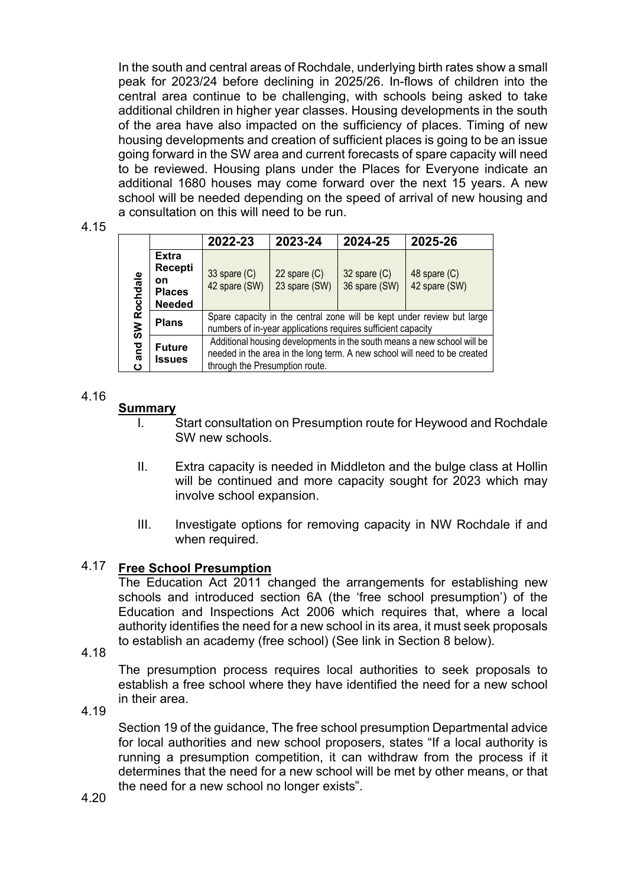In the south and central areas of Rochdale, underlying birth rates show a small peak for 2023/24 before declining in 2025/26. In-flows of children into the central area continue to be challenging, with schools being asked to take additional children in higher year classes. Housing developments in the south of the area have also impacted on the sufficiency of places. Timing of new housing developments and creation of sufficient places is going to be an issue going forward in the SW area and current forecasts of spare capacity will need to be reviewed. Housing plans under the Places for Everyone indicate an additional 1680 houses may come forward over the next 15 years. A new school will be needed depending on the speed of arrival of new housing and a consultation on this will need to be run.

4.15

|             |                                                                 | 2022-23                                                                                                                                                                                | 2023-24                         | 2024-25                           | 2025-26                         |  |  |  |
|-------------|-----------------------------------------------------------------|----------------------------------------------------------------------------------------------------------------------------------------------------------------------------------------|---------------------------------|-----------------------------------|---------------------------------|--|--|--|
| SW Rochdale | <b>Extra</b><br>Recepti<br>on<br><b>Places</b><br><b>Needed</b> | 33 spare $(C)$<br>42 spare (SW)                                                                                                                                                        | 22 spare $(C)$<br>23 spare (SW) | $32$ spare $(C)$<br>36 spare (SW) | 48 spare $(C)$<br>42 spare (SW) |  |  |  |
|             | <b>Plans</b>                                                    | Spare capacity in the central zone will be kept under review but large<br>numbers of in-year applications requires sufficient capacity                                                 |                                 |                                   |                                 |  |  |  |
| and<br>ပ    | <b>Future</b><br><b>Issues</b>                                  | Additional housing developments in the south means a new school will be<br>needed in the area in the long term. A new school will need to be created<br>through the Presumption route. |                                 |                                   |                                 |  |  |  |

## 4.16

# **Summary**

- I. Start consultation on Presumption route for Heywood and Rochdale SW new schools.
- II. Extra capacity is needed in Middleton and the bulge class at Hollin will be continued and more capacity sought for 2023 which may involve school expansion.
- III. Investigate options for removing capacity in NW Rochdale if and when required.

#### 4.17 **Free School Presumption**

The Education Act 2011 changed the arrangements for establishing new schools and introduced section 6A (the 'free school presumption') of the Education and Inspections Act 2006 which requires that, where a local authority identifies the need for a new school in its area, it must seek proposals to establish an academy (free school) (See link in Section 8 below).

4.18

The presumption process requires local authorities to seek proposals to establish a free school where they have identified the need for a new school in their area.

4.19

Section 19 of the guidance, The free school presumption Departmental advice for local authorities and new school proposers, states "If a local authority is running a presumption competition, it can withdraw from the process if it determines that the need for a new school will be met by other means, or that the need for a new school no longer exists".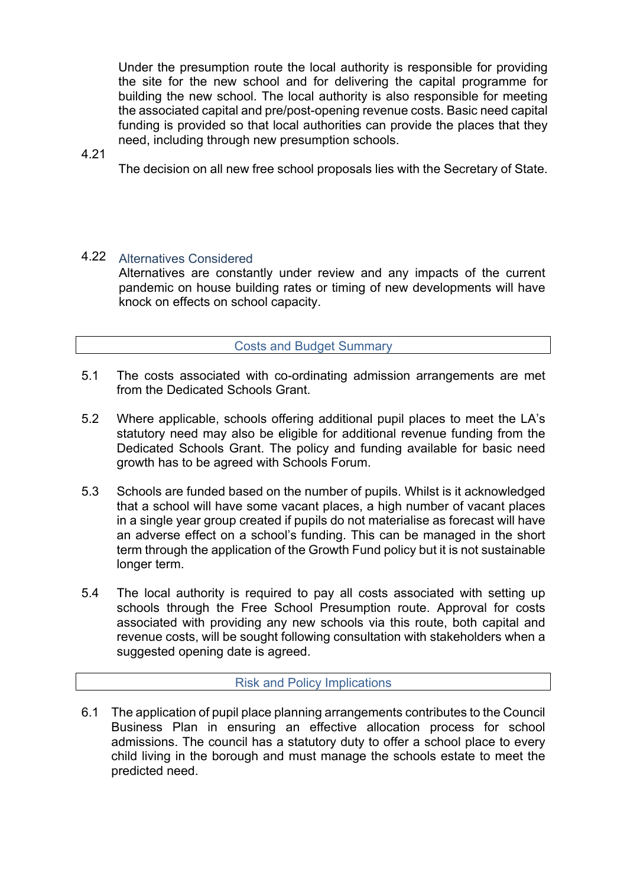Under the presumption route the local authority is responsible for providing the site for the new school and for delivering the capital programme for building the new school. The local authority is also responsible for meeting the associated capital and pre/post-opening revenue costs. Basic need capital funding is provided so that local authorities can provide the places that they need, including through new presumption schools.

### 4.21

The decision on all new free school proposals lies with the Secretary of State.

# 4.22 Alternatives Considered

Alternatives are constantly under review and any impacts of the current pandemic on house building rates or timing of new developments will have knock on effects on school capacity.

## Costs and Budget Summary

- 5.1 The costs associated with co-ordinating admission arrangements are met from the Dedicated Schools Grant.
- 5.2 Where applicable, schools offering additional pupil places to meet the LA's statutory need may also be eligible for additional revenue funding from the Dedicated Schools Grant. The policy and funding available for basic need growth has to be agreed with Schools Forum.
- 5.3 Schools are funded based on the number of pupils. Whilst is it acknowledged that a school will have some vacant places, a high number of vacant places in a single year group created if pupils do not materialise as forecast will have an adverse effect on a school's funding. This can be managed in the short term through the application of the Growth Fund policy but it is not sustainable longer term.
- 5.4 The local authority is required to pay all costs associated with setting up schools through the Free School Presumption route. Approval for costs associated with providing any new schools via this route, both capital and revenue costs, will be sought following consultation with stakeholders when a suggested opening date is agreed.

#### Risk and Policy Implications

6.1 The application of pupil place planning arrangements contributes to the Council Business Plan in ensuring an effective allocation process for school admissions. The council has a statutory duty to offer a school place to every child living in the borough and must manage the schools estate to meet the predicted need.